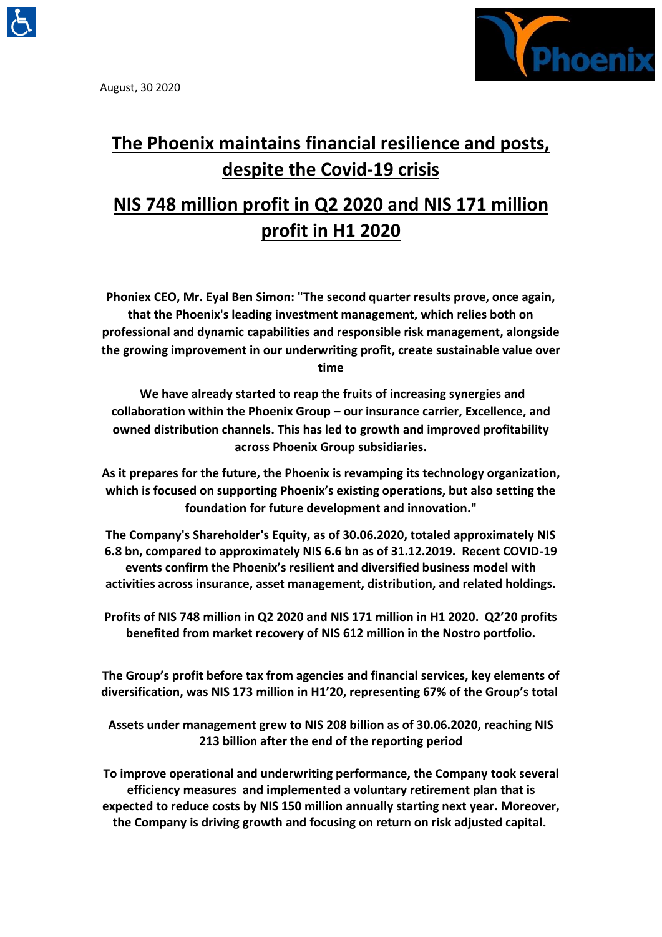

August, 30 2020



# **The Phoenix maintains financial resilience and posts, despite the Covid-19 crisis**

## **NIS 748 million profit in Q2 2020 and NIS 171 million profit in H1 2020**

**Phoniex CEO, Mr. Eyal Ben Simon: "The second quarter results prove, once again, that the Phoenix's leading investment management, which relies both on professional and dynamic capabilities and responsible risk management, alongside the growing improvement in our underwriting profit, create sustainable value over time** 

**We have already started to reap the fruits of increasing synergies and collaboration within the Phoenix Group – our insurance carrier, Excellence, and owned distribution channels. This has led to growth and improved profitability across Phoenix Group subsidiaries.** 

**As it prepares for the future, the Phoenix is revamping its technology organization, which is focused on supporting Phoenix's existing operations, but also setting the foundation for future development and innovation."**

**The Company's Shareholder's Equity, as of 30.06.2020, totaled approximately NIS 6.8 bn, compared to approximately NIS 6.6 bn as of 31.12.2019. Recent COVID-19 events confirm the Phoenix's resilient and diversified business model with activities across insurance, asset management, distribution, and related holdings.** 

**Profits of NIS 748 million in Q2 2020 and NIS 171 million in H1 2020. Q2'20 profits benefited from market recovery of NIS 612 million in the Nostro portfolio.** 

**The Group's profit before tax from agencies and financial services, key elements of diversification, was NIS 173 million in H1'20, representing 67% of the Group's total** 

**Assets under management grew to NIS 208 billion as of 30.06.2020, reaching NIS 213 billion after the end of the reporting period**

**To improve operational and underwriting performance, the Company took several efficiency measures and implemented a voluntary retirement plan that is expected to reduce costs by NIS 150 million annually starting next year. Moreover, the Company is driving growth and focusing on return on risk adjusted capital.**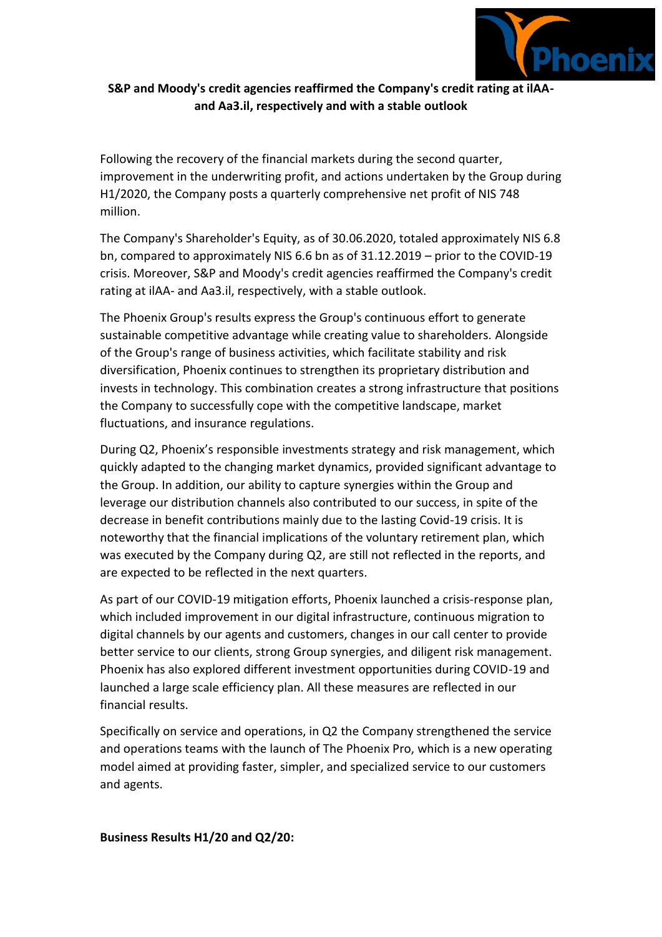

## **S&P and Moody's credit agencies reaffirmed the Company's credit rating at ilAAand Aa3.il, respectively and with a stable outlook**

Following the recovery of the financial markets during the second quarter, improvement in the underwriting profit, and actions undertaken by the Group during H1/2020, the Company posts a quarterly comprehensive net profit of NIS 748 million.

The Company's Shareholder's Equity, as of 30.06.2020, totaled approximately NIS 6.8 bn, compared to approximately NIS 6.6 bn as of 31.12.2019 – prior to the COVID-19 crisis. Moreover, S&P and Moody's credit agencies reaffirmed the Company's credit rating at ilAA- and Aa3.il, respectively, with a stable outlook.

The Phoenix Group's results express the Group's continuous effort to generate sustainable competitive advantage while creating value to shareholders. Alongside of the Group's range of business activities, which facilitate stability and risk diversification, Phoenix continues to strengthen its proprietary distribution and invests in technology. This combination creates a strong infrastructure that positions the Company to successfully cope with the competitive landscape, market fluctuations, and insurance regulations.

During Q2, Phoenix's responsible investments strategy and risk management, which quickly adapted to the changing market dynamics, provided significant advantage to the Group. In addition, our ability to capture synergies within the Group and leverage our distribution channels also contributed to our success, in spite of the decrease in benefit contributions mainly due to the lasting Covid-19 crisis. It is noteworthy that the financial implications of the voluntary retirement plan, which was executed by the Company during Q2, are still not reflected in the reports, and are expected to be reflected in the next quarters.

As part of our COVID-19 mitigation efforts, Phoenix launched a crisis-response plan, which included improvement in our digital infrastructure, continuous migration to digital channels by our agents and customers, changes in our call center to provide better service to our clients, strong Group synergies, and diligent risk management. Phoenix has also explored different investment opportunities during COVID-19 and launched a large scale efficiency plan. All these measures are reflected in our financial results.

Specifically on service and operations, in Q2 the Company strengthened the service and operations teams with the launch of The Phoenix Pro, which is a new operating model aimed at providing faster, simpler, and specialized service to our customers and agents.

#### **Business Results H1/20 and Q2/20:**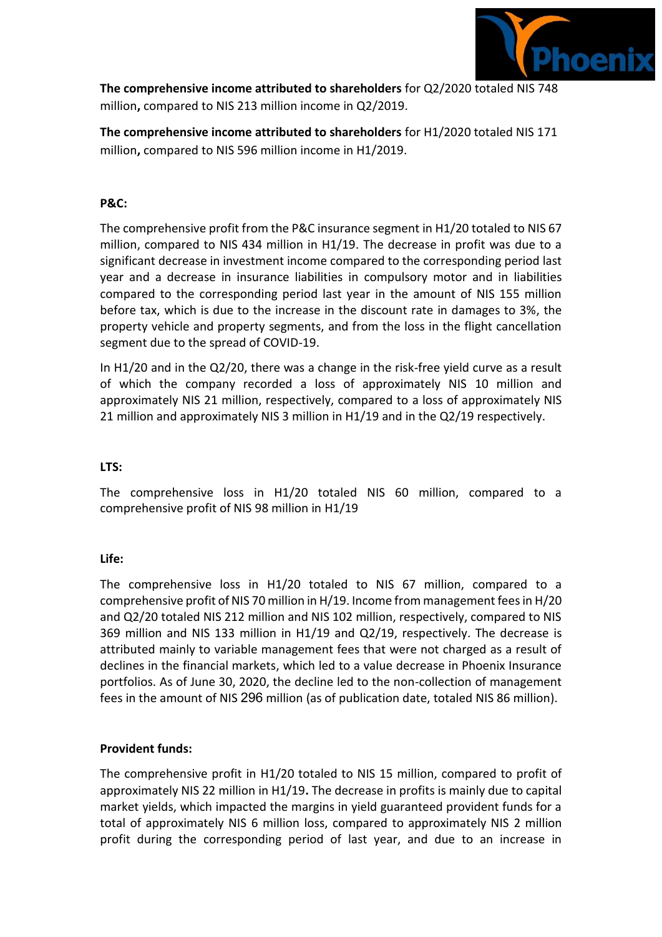

**The comprehensive income attributed to shareholders** for Q2/2020 totaled NIS 748 million**,** compared to NIS 213 million income in Q2/2019.

**The comprehensive income attributed to shareholders** for H1/2020 totaled NIS 171 million**,** compared to NIS 596 million income in H1/2019.

## **P&C:**

The comprehensive profit from the P&C insurance segment in H1/20 totaled to NIS 67 million, compared to NIS 434 million in H1/19. The decrease in profit was due to a significant decrease in investment income compared to the corresponding period last year and a decrease in insurance liabilities in compulsory motor and in liabilities compared to the corresponding period last year in the amount of NIS 155 million before tax, which is due to the increase in the discount rate in damages to 3%, the property vehicle and property segments, and from the loss in the flight cancellation segment due to the spread of COVID-19.

In H1/20 and in the Q2/20, there was a change in the risk-free yield curve as a result of which the company recorded a loss of approximately NIS 10 million and approximately NIS 21 million, respectively, compared to a loss of approximately NIS 21 million and approximately NIS 3 million in H1/19 and in the Q2/19 respectively.

## **LTS:**

The comprehensive loss in H1/20 totaled NIS 60 million, compared to a comprehensive profit of NIS 98 million in H1/19

### **Life:**

The comprehensive loss in H1/20 totaled to NIS 67 million, compared to a comprehensive profit of NIS 70 million in H/19. Income from management fees in H/20 and Q2/20 totaled NIS 212 million and NIS 102 million, respectively, compared to NIS 369 million and NIS 133 million in H1/19 and Q2/19, respectively. The decrease is attributed mainly to variable management fees that were not charged as a result of declines in the financial markets, which led to a value decrease in Phoenix Insurance portfolios. As of June 30, 2020, the decline led to the non-collection of management fees in the amount of NIS 296 million (as of publication date, totaled NIS 86 million).

### **Provident funds:**

The comprehensive profit in H1/20 totaled to NIS 15 million, compared to profit of approximately NIS 22 million in H1/19**.** The decrease in profits is mainly due to capital market yields, which impacted the margins in yield guaranteed provident funds for a total of approximately NIS 6 million loss, compared to approximately NIS 2 million profit during the corresponding period of last year, and due to an increase in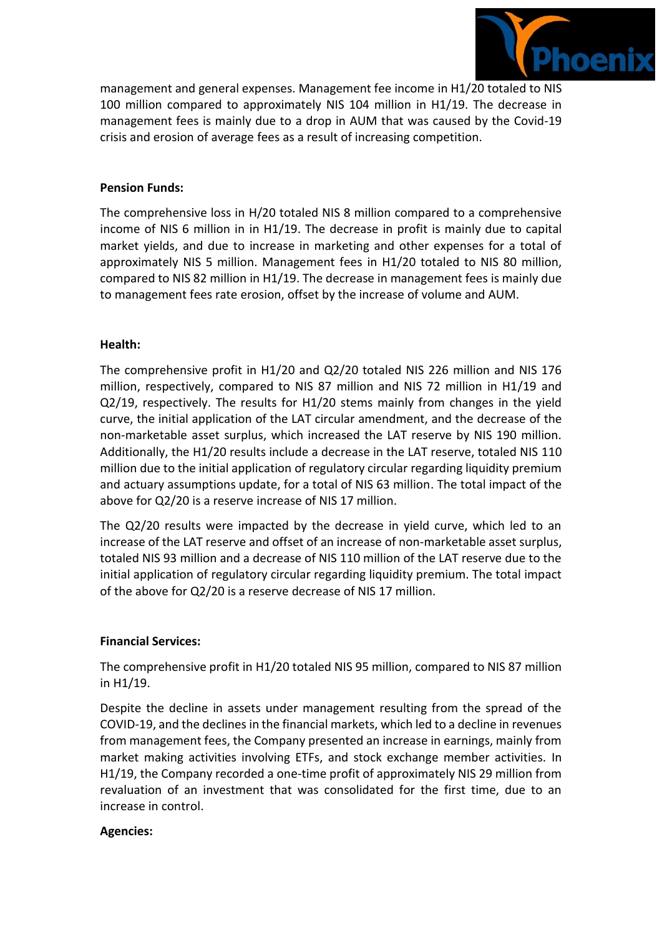

management and general expenses. Management fee income in H1/20 totaled to NIS 100 million compared to approximately NIS 104 million in H1/19. The decrease in management fees is mainly due to a drop in AUM that was caused by the Covid-19 crisis and erosion of average fees as a result of increasing competition.

#### **Pension Funds:**

The comprehensive loss in H/20 totaled NIS 8 million compared to a comprehensive income of NIS 6 million in in H1/19. The decrease in profit is mainly due to capital market yields, and due to increase in marketing and other expenses for a total of approximately NIS 5 million. Management fees in H1/20 totaled to NIS 80 million, compared to NIS 82 million in H1/19. The decrease in management fees is mainly due to management fees rate erosion, offset by the increase of volume and AUM.

#### **Health:**

The comprehensive profit in H1/20 and Q2/20 totaled NIS 226 million and NIS 176 million, respectively, compared to NIS 87 million and NIS 72 million in H1/19 and Q2/19, respectively. The results for H1/20 stems mainly from changes in the yield curve, the initial application of the LAT circular amendment, and the decrease of the non-marketable asset surplus, which increased the LAT reserve by NIS 190 million. Additionally, the H1/20 results include a decrease in the LAT reserve, totaled NIS 110 million due to the initial application of regulatory circular regarding liquidity premium and actuary assumptions update, for a total of NIS 63 million. The total impact of the above for Q2/20 is a reserve increase of NIS 17 million.

The Q2/20 results were impacted by the decrease in yield curve, which led to an increase of the LAT reserve and offset of an increase of non-marketable asset surplus, totaled NIS 93 million and a decrease of NIS 110 million of the LAT reserve due to the initial application of regulatory circular regarding liquidity premium. The total impact of the above for Q2/20 is a reserve decrease of NIS 17 million.

#### **Financial Services:**

The comprehensive profit in H1/20 totaled NIS 95 million, compared to NIS 87 million in H1/19.

Despite the decline in assets under management resulting from the spread of the COVID-19, and the declines in the financial markets, which led to a decline in revenues from management fees, the Company presented an increase in earnings, mainly from market making activities involving ETFs, and stock exchange member activities. In H1/19, the Company recorded a one-time profit of approximately NIS 29 million from revaluation of an investment that was consolidated for the first time, due to an increase in control.

#### **Agencies:**